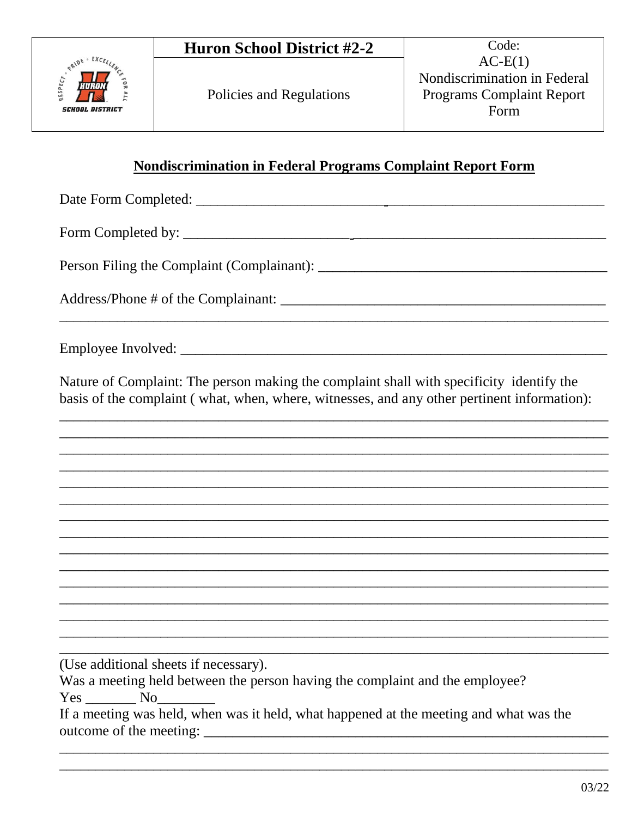

## Nondiscrimination in Federal Programs Complaint Report Form

Address/Phone # of the Complainant:

Nature of Complaint: The person making the complaint shall with specificity identify the basis of the complaint (what, when, where, witnesses, and any other pertinent information):

(Use additional sheets if necessary).

Was a meeting held between the person having the complaint and the employee?

 $Yes$  No  $No$ 

| If a meeting was held, when was it held, what happened at the meeting and what was the |  |
|----------------------------------------------------------------------------------------|--|
| outcome of the meeting:                                                                |  |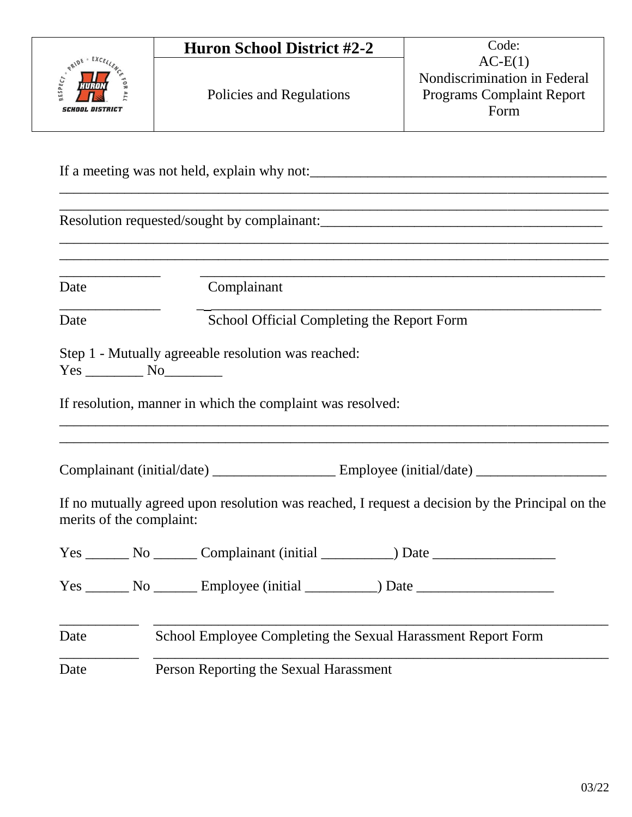|                                                 | <b>Huron School District #2-2</b>                                                               | Code:                                                                                 |
|-------------------------------------------------|-------------------------------------------------------------------------------------------------|---------------------------------------------------------------------------------------|
| <b>CARDE - EXCELL</b><br><i>SCHOOL DISTRICT</i> | Policies and Regulations                                                                        | $AC-E(1)$<br>Nondiscrimination in Federal<br><b>Programs Complaint Report</b><br>Form |
|                                                 |                                                                                                 |                                                                                       |
|                                                 |                                                                                                 |                                                                                       |
| Date                                            | Complainant                                                                                     |                                                                                       |
| Date                                            | School Official Completing the Report Form                                                      |                                                                                       |
|                                                 | If resolution, manner in which the complaint was resolved:                                      |                                                                                       |
|                                                 |                                                                                                 |                                                                                       |
| merits of the complaint:                        | If no mutually agreed upon resolution was reached, I request a decision by the Principal on the |                                                                                       |
|                                                 |                                                                                                 |                                                                                       |
|                                                 | Yes ________ No ________ Complainant (initial ____________) Date ________________               |                                                                                       |
|                                                 |                                                                                                 |                                                                                       |
| Date                                            | School Employee Completing the Sexual Harassment Report Form                                    |                                                                                       |